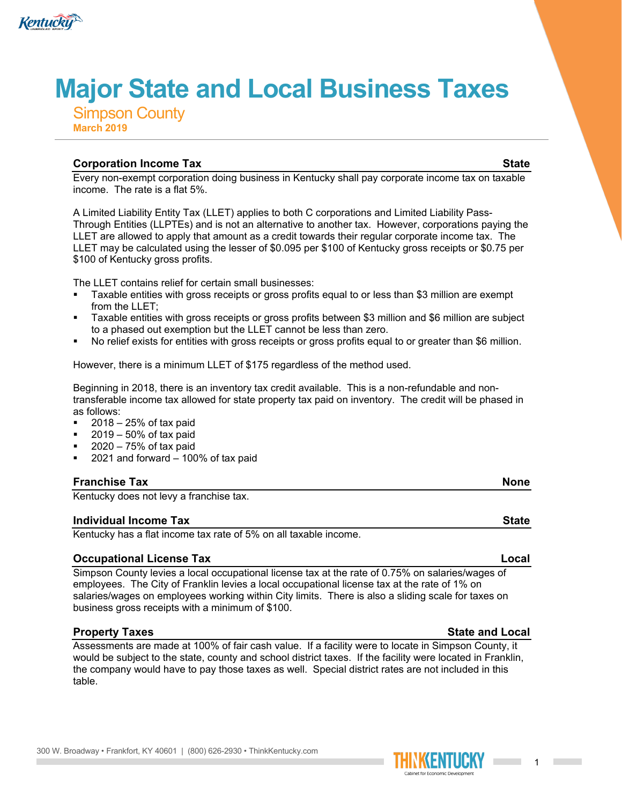

# **Major State and Local Business Taxes**

Simpson County **March 2019**

# **Corporation Income Tax State**

Every non-exempt corporation doing business in Kentucky shall pay corporate income tax on taxable income. The rate is a flat 5%.

A Limited Liability Entity Tax (LLET) applies to both C corporations and Limited Liability Pass-Through Entities (LLPTEs) and is not an alternative to another tax. However, corporations paying the LLET are allowed to apply that amount as a credit towards their regular corporate income tax. The LLET may be calculated using the lesser of \$0.095 per \$100 of Kentucky gross receipts or \$0.75 per \$100 of Kentucky gross profits.

The LLET contains relief for certain small businesses:

- Taxable entities with gross receipts or gross profits equal to or less than \$3 million are exempt from the LLET;
- Taxable entities with gross receipts or gross profits between \$3 million and \$6 million are subject to a phased out exemption but the LLET cannot be less than zero.
- No relief exists for entities with gross receipts or gross profits equal to or greater than \$6 million.

However, there is a minimum LLET of \$175 regardless of the method used.

Beginning in 2018, there is an inventory tax credit available. This is a non-refundable and nontransferable income tax allowed for state property tax paid on inventory. The credit will be phased in as follows:

- $\blacksquare$  2018 25% of tax paid
- 2019 50% of tax paid
- 2020 75% of tax paid
- 2021 and forward 100% of tax paid

# **Franchise Tax None**

Kentucky does not levy a franchise tax.

### **Individual Income Tax State**

Kentucky has a flat income tax rate of 5% on all taxable income.

# **Occupational License Tax Local**

Simpson County levies a local occupational license tax at the rate of 0.75% on salaries/wages of employees. The City of Franklin levies a local occupational license tax at the rate of 1% on salaries/wages on employees working within City limits. There is also a sliding scale for taxes on business gross receipts with a minimum of \$100.

# **Property Taxes State and Local**

Assessments are made at 100% of fair cash value. If a facility were to locate in Simpson County, it would be subject to the state, county and school district taxes. If the facility were located in Franklin, the company would have to pay those taxes as well. Special district rates are not included in this table.

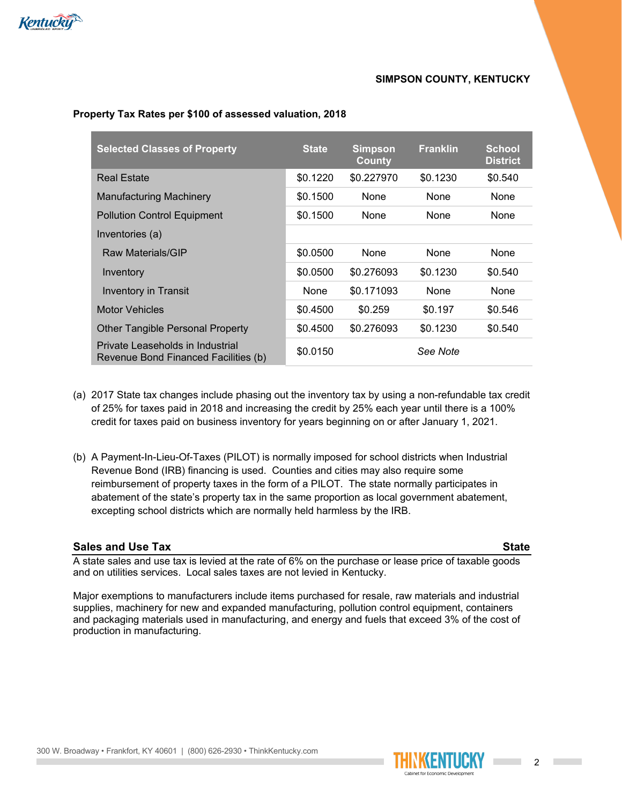

## **SIMPSON COUNTY, KENTUCKY**

| <b>Selected Classes of Property</b>                                      | <b>State</b> | <b>Simpson</b><br><b>County</b> | <b>Franklin</b> | <b>School</b><br><b>District</b> |
|--------------------------------------------------------------------------|--------------|---------------------------------|-----------------|----------------------------------|
| <b>Real Estate</b>                                                       | \$0.1220     | \$0.227970                      | \$0.1230        | \$0.540                          |
| <b>Manufacturing Machinery</b>                                           | \$0.1500     | None                            | None            | None                             |
| <b>Pollution Control Equipment</b>                                       | \$0.1500     | None                            | None            | None                             |
| Inventories (a)                                                          |              |                                 |                 |                                  |
| Raw Materials/GIP                                                        | \$0.0500     | None                            | None            | None                             |
| Inventory                                                                | \$0.0500     | \$0.276093                      | \$0.1230        | \$0.540                          |
| <b>Inventory in Transit</b>                                              | None         | \$0.171093                      | None            | None                             |
| <b>Motor Vehicles</b>                                                    | \$0.4500     | \$0.259                         | \$0.197         | \$0.546                          |
| <b>Other Tangible Personal Property</b>                                  | \$0.4500     | \$0.276093                      | \$0.1230        | \$0.540                          |
| Private Leaseholds in Industrial<br>Revenue Bond Financed Facilities (b) | \$0.0150     |                                 | See Note        |                                  |

### **Property Tax Rates per \$100 of assessed valuation, 2018**

- (a) 2017 State tax changes include phasing out the inventory tax by using a non-refundable tax credit of 25% for taxes paid in 2018 and increasing the credit by 25% each year until there is a 100% credit for taxes paid on business inventory for years beginning on or after January 1, 2021.
- (b) A Payment-In-Lieu-Of-Taxes (PILOT) is normally imposed for school districts when Industrial Revenue Bond (IRB) financing is used. Counties and cities may also require some reimbursement of property taxes in the form of a PILOT. The state normally participates in abatement of the state's property tax in the same proportion as local government abatement, excepting school districts which are normally held harmless by the IRB.

### **Sales and Use Tax State**

A state sales and use tax is levied at the rate of 6% on the purchase or lease price of taxable goods and on utilities services. Local sales taxes are not levied in Kentucky.

Major exemptions to manufacturers include items purchased for resale, raw materials and industrial supplies, machinery for new and expanded manufacturing, pollution control equipment, containers and packaging materials used in manufacturing, and energy and fuels that exceed 3% of the cost of production in manufacturing.



**Contract Contract** 

**Contract Contract**